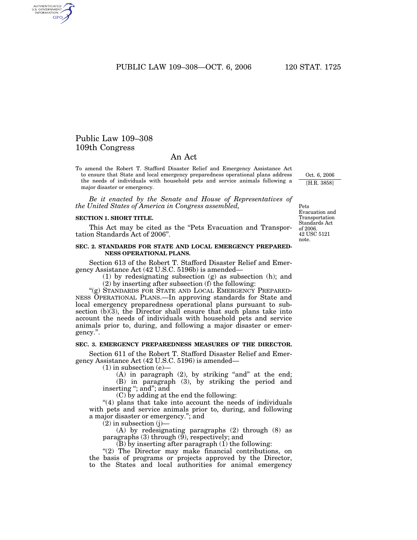PUBLIC LAW 109-308-OCT. 6, 2006 120 STAT. 1725

# Public Law 109–308 109th Congress

AUTHENTICATED<br>U.S. GOVERNMENT<br>INFORMATION GPO

# An Act

To amend the Robert T. Stafford Disaster Relief and Emergency Assistance Act to ensure that State and local emergency preparedness operational plans address the needs of individuals with household pets and service animals following a major disaster or emergency.

*Be it enacted by the Senate and House of Representatives of the United States of America in Congress assembled,*

### **SECTION 1. SHORT TITLE.**

This Act may be cited as the "Pets Evacuation and Transportation Standards Act of 2006''.

# **SEC. 2. STANDARDS FOR STATE AND LOCAL EMERGENCY PREPARED-NESS OPERATIONAL PLANS.**

Section 613 of the Robert T. Stafford Disaster Relief and Emergency Assistance Act (42 U.S.C. 5196b) is amended—

(1) by redesignating subsection (g) as subsection (h); and

(2) by inserting after subsection (f) the following:

"(g) STANDARDS FOR STATE AND LOCAL EMERGENCY PREPARED-NESS OPERATIONAL PLANS.—In approving standards for State and local emergency preparedness operational plans pursuant to subsection  $(b)$  $(3)$ , the Director shall ensure that such plans take into account the needs of individuals with household pets and service animals prior to, during, and following a major disaster or emergency.''.

### **SEC. 3. EMERGENCY PREPAREDNESS MEASURES OF THE DIRECTOR.**

Section 611 of the Robert T. Stafford Disaster Relief and Emergency Assistance Act (42 U.S.C. 5196) is amended—

(1) in subsection (e)—

(A) in paragraph  $(2)$ , by striking "and" at the end; (B) in paragraph (3), by striking the period and inserting ''; and''; and

(C) by adding at the end the following:

"(4) plans that take into account the needs of individuals with pets and service animals prior to, during, and following a major disaster or emergency.''; and

 $(2)$  in subsection  $(j)$ –

(A) by redesignating paragraphs (2) through (8) as paragraphs (3) through (9), respectively; and

(B) by inserting after paragraph (1) the following:

"(2) The Director may make financial contributions, on the basis of programs or projects approved by the Director, to the States and local authorities for animal emergency

Pets Evacuation and Transportation Standards Act of 2006. 42 USC 5121 note.

Oct. 6, 2006 [H.R. 3858]